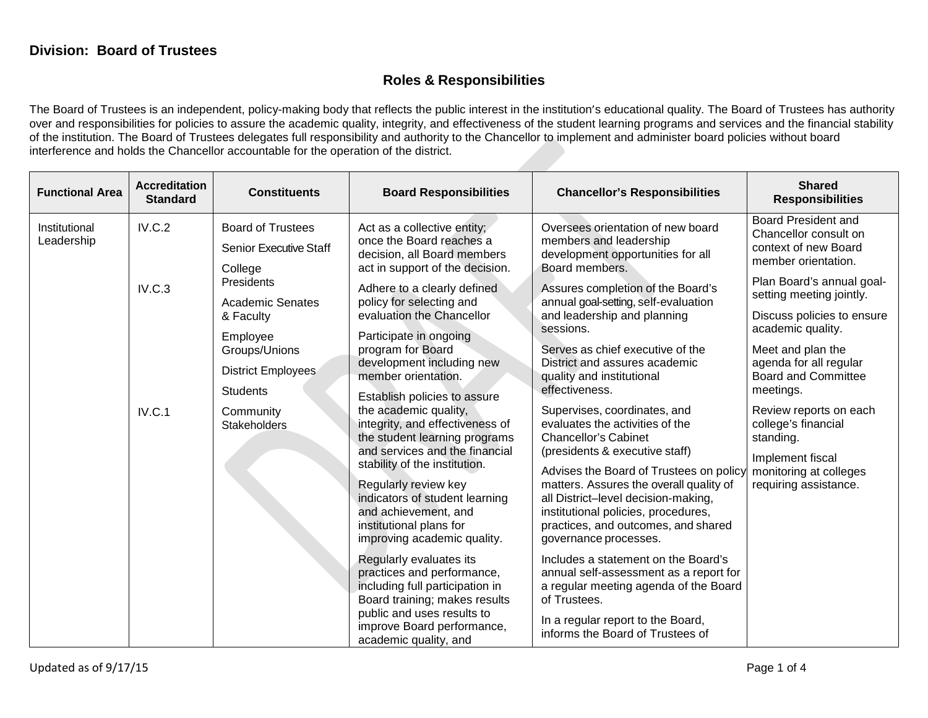## **Roles & Responsibilities**

The Board of Trustees is an independent, policy-making body that reflects the public interest in the institution's educational quality. The Board of Trustees has authority over and responsibilities for policies to assure the academic quality, integrity, and effectiveness of the student learning programs and services and the financial stability of the institution. The Board of Trustees delegates full responsibility and authority to the Chancellor to implement and administer board policies without board interference and holds the Chancellor accountable for the operation of the district.

| <b>Functional Area</b>      | <b>Accreditation</b><br><b>Standard</b> | <b>Constituents</b>                                                                                                                                                                                                                  | <b>Board Responsibilities</b>                                                                                                                                                                                                                                                                                                                                                                                                                                                                                                                                                                                                                                    | <b>Chancellor's Responsibilities</b>                                                                                                                                                                                                                                                                                                                                                                                                                                                                                                                                                                                                                                                                                                    | <b>Shared</b><br><b>Responsibilities</b>                                                                                                                                                                                                                                                                                                                                                                                                      |
|-----------------------------|-----------------------------------------|--------------------------------------------------------------------------------------------------------------------------------------------------------------------------------------------------------------------------------------|------------------------------------------------------------------------------------------------------------------------------------------------------------------------------------------------------------------------------------------------------------------------------------------------------------------------------------------------------------------------------------------------------------------------------------------------------------------------------------------------------------------------------------------------------------------------------------------------------------------------------------------------------------------|-----------------------------------------------------------------------------------------------------------------------------------------------------------------------------------------------------------------------------------------------------------------------------------------------------------------------------------------------------------------------------------------------------------------------------------------------------------------------------------------------------------------------------------------------------------------------------------------------------------------------------------------------------------------------------------------------------------------------------------------|-----------------------------------------------------------------------------------------------------------------------------------------------------------------------------------------------------------------------------------------------------------------------------------------------------------------------------------------------------------------------------------------------------------------------------------------------|
| Institutional<br>Leadership | IV.C.2<br>IV.C.3<br>IV.C.1              | <b>Board of Trustees</b><br><b>Senior Executive Staff</b><br>College<br>Presidents<br><b>Academic Senates</b><br>& Faculty<br>Employee<br>Groups/Unions<br>District Employees<br><b>Students</b><br>Community<br><b>Stakeholders</b> | Act as a collective entity;<br>once the Board reaches a<br>decision, all Board members<br>act in support of the decision.<br>Adhere to a clearly defined<br>policy for selecting and<br>evaluation the Chancellor<br>Participate in ongoing<br>program for Board<br>development including new<br>member orientation.<br>Establish policies to assure<br>the academic quality,<br>integrity, and effectiveness of<br>the student learning programs<br>and services and the financial<br>stability of the institution.<br>Regularly review key<br>indicators of student learning<br>and achievement, and<br>institutional plans for<br>improving academic quality. | Oversees orientation of new board<br>members and leadership<br>development opportunities for all<br>Board members.<br>Assures completion of the Board's<br>annual goal-setting, self-evaluation<br>and leadership and planning<br>sessions.<br>Serves as chief executive of the<br>District and assures academic<br>quality and institutional<br>effectiveness.<br>Supervises, coordinates, and<br>evaluates the activities of the<br><b>Chancellor's Cabinet</b><br>(presidents & executive staff)<br>Advises the Board of Trustees on policy<br>matters. Assures the overall quality of<br>all District-level decision-making,<br>institutional policies, procedures,<br>practices, and outcomes, and shared<br>governance processes. | <b>Board President and</b><br>Chancellor consult on<br>context of new Board<br>member orientation.<br>Plan Board's annual goal-<br>setting meeting jointly.<br>Discuss policies to ensure<br>academic quality.<br>Meet and plan the<br>agenda for all regular<br><b>Board and Committee</b><br>meetings.<br>Review reports on each<br>college's financial<br>standing.<br>Implement fiscal<br>monitoring at colleges<br>requiring assistance. |
|                             |                                         |                                                                                                                                                                                                                                      | Regularly evaluates its<br>practices and performance,<br>including full participation in<br>Board training; makes results<br>public and uses results to<br>improve Board performance,<br>academic quality, and                                                                                                                                                                                                                                                                                                                                                                                                                                                   | Includes a statement on the Board's<br>annual self-assessment as a report for<br>a regular meeting agenda of the Board<br>of Trustees.<br>In a regular report to the Board,<br>informs the Board of Trustees of                                                                                                                                                                                                                                                                                                                                                                                                                                                                                                                         |                                                                                                                                                                                                                                                                                                                                                                                                                                               |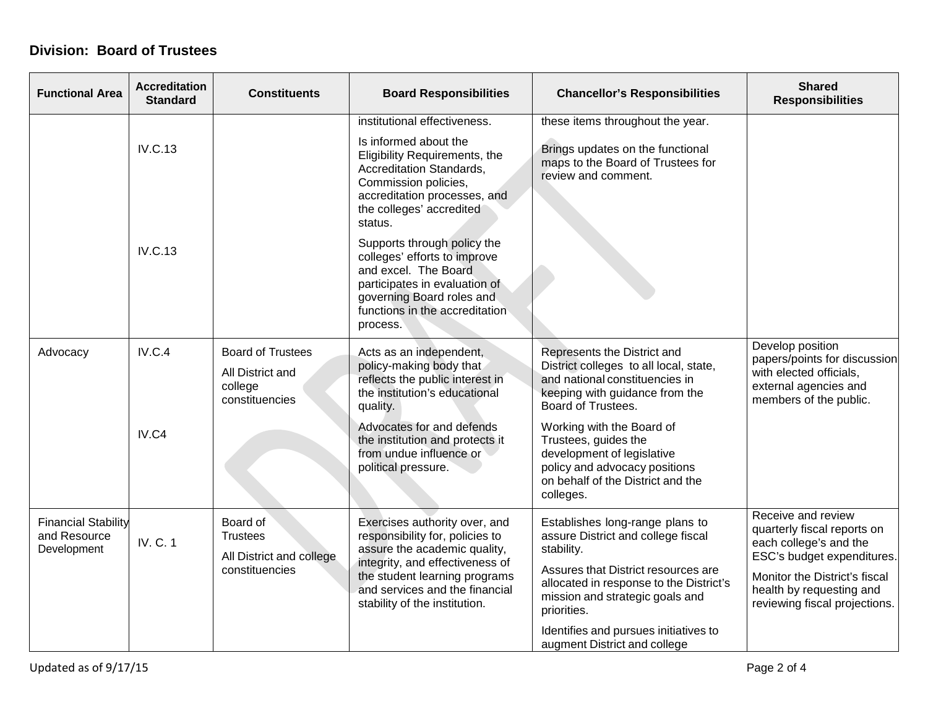## **Division: Board of Trustees**

| <b>Functional Area</b>                                    | <b>Accreditation</b><br><b>Standard</b> | <b>Constituents</b>                                                       | <b>Board Responsibilities</b>                                                                                                                                                                                                           | <b>Chancellor's Responsibilities</b>                                                                                                                                                                                    | <b>Shared</b><br><b>Responsibilities</b>                                                                                                                                                                |
|-----------------------------------------------------------|-----------------------------------------|---------------------------------------------------------------------------|-----------------------------------------------------------------------------------------------------------------------------------------------------------------------------------------------------------------------------------------|-------------------------------------------------------------------------------------------------------------------------------------------------------------------------------------------------------------------------|---------------------------------------------------------------------------------------------------------------------------------------------------------------------------------------------------------|
|                                                           | <b>IV.C.13</b>                          |                                                                           | institutional effectiveness.<br>Is informed about the<br>Eligibility Requirements, the<br>Accreditation Standards,<br>Commission policies,<br>accreditation processes, and<br>the colleges' accredited<br>status.                       | these items throughout the year.<br>Brings updates on the functional<br>maps to the Board of Trustees for<br>review and comment.                                                                                        |                                                                                                                                                                                                         |
|                                                           | <b>IV.C.13</b>                          |                                                                           | Supports through policy the<br>colleges' efforts to improve<br>and excel. The Board<br>participates in evaluation of<br>governing Board roles and<br>functions in the accreditation<br>process.                                         |                                                                                                                                                                                                                         |                                                                                                                                                                                                         |
| Advocacy                                                  | <b>IV.C.4</b>                           | <b>Board of Trustees</b><br>All District and<br>college<br>constituencies | Acts as an independent,<br>policy-making body that<br>reflects the public interest in<br>the institution's educational<br>quality.                                                                                                      | Represents the District and<br>District colleges to all local, state,<br>and national constituencies in<br>keeping with guidance from the<br>Board of Trustees.                                                         | Develop position<br>papers/points for discussion<br>with elected officials,<br>external agencies and<br>members of the public.                                                                          |
|                                                           | IV.C4                                   |                                                                           | Advocates for and defends<br>the institution and protects it<br>from undue influence or<br>political pressure.                                                                                                                          | Working with the Board of<br>Trustees, guides the<br>development of legislative<br>policy and advocacy positions<br>on behalf of the District and the<br>colleges.                                                      |                                                                                                                                                                                                         |
| <b>Financial Stability</b><br>and Resource<br>Development | IV. C. 1                                | Board of<br><b>Trustees</b><br>All District and college<br>constituencies | Exercises authority over, and<br>responsibility for, policies to<br>assure the academic quality,<br>integrity, and effectiveness of<br>the student learning programs<br>and services and the financial<br>stability of the institution. | Establishes long-range plans to<br>assure District and college fiscal<br>stability.<br>Assures that District resources are<br>allocated in response to the District's<br>mission and strategic goals and<br>priorities. | Receive and review<br>quarterly fiscal reports on<br>each college's and the<br>ESC's budget expenditures.<br>Monitor the District's fiscal<br>health by requesting and<br>reviewing fiscal projections. |
|                                                           |                                         |                                                                           |                                                                                                                                                                                                                                         | Identifies and pursues initiatives to<br>augment District and college                                                                                                                                                   |                                                                                                                                                                                                         |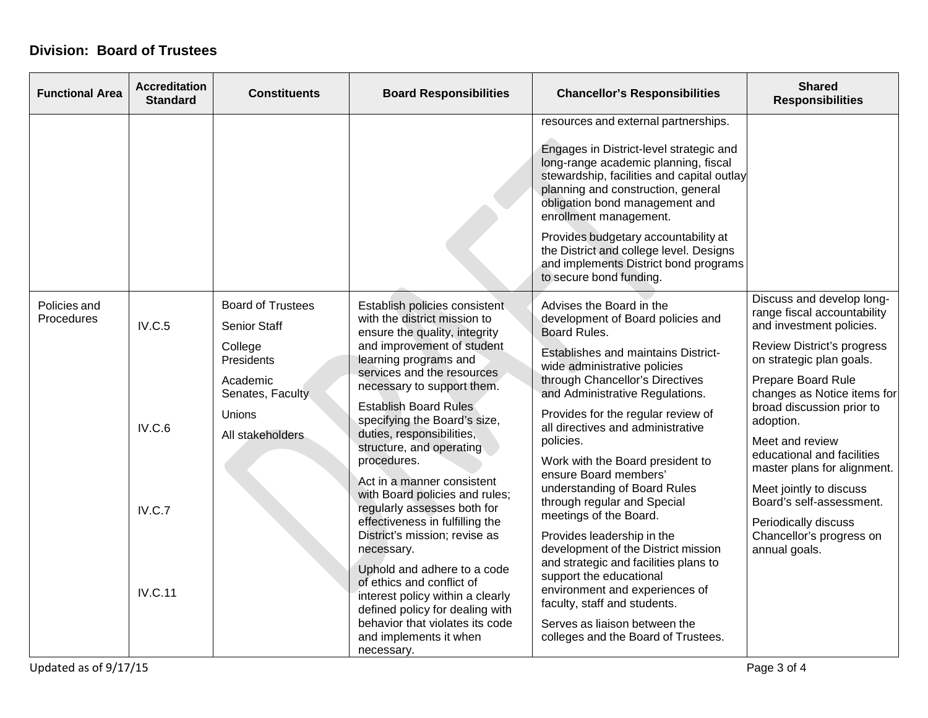## **Division: Board of Trustees**

| <b>Functional Area</b>     | <b>Accreditation</b><br><b>Standard</b> | <b>Constituents</b>                                                                                                                                                                                        | <b>Board Responsibilities</b>                                                                                                                                                                                                                                                                                                                                                     | <b>Chancellor's Responsibilities</b>                                                                                                                                                                                                                                                                                                                                                                                           | <b>Shared</b><br><b>Responsibilities</b>                                                                                                                                                                                                                                                                |
|----------------------------|-----------------------------------------|------------------------------------------------------------------------------------------------------------------------------------------------------------------------------------------------------------|-----------------------------------------------------------------------------------------------------------------------------------------------------------------------------------------------------------------------------------------------------------------------------------------------------------------------------------------------------------------------------------|--------------------------------------------------------------------------------------------------------------------------------------------------------------------------------------------------------------------------------------------------------------------------------------------------------------------------------------------------------------------------------------------------------------------------------|---------------------------------------------------------------------------------------------------------------------------------------------------------------------------------------------------------------------------------------------------------------------------------------------------------|
|                            |                                         |                                                                                                                                                                                                            |                                                                                                                                                                                                                                                                                                                                                                                   | resources and external partnerships.<br>Engages in District-level strategic and<br>long-range academic planning, fiscal<br>stewardship, facilities and capital outlay<br>planning and construction, general<br>obligation bond management and<br>enrollment management.<br>Provides budgetary accountability at<br>the District and college level. Designs<br>and implements District bond programs<br>to secure bond funding. |                                                                                                                                                                                                                                                                                                         |
| Policies and<br>Procedures | IV.C.5                                  | <b>Board of Trustees</b><br><b>Senior Staff</b><br>College<br>Presidents                                                                                                                                   | Establish policies consistent<br>with the district mission to<br>ensure the quality, integrity<br>and improvement of student<br>learning programs and                                                                                                                                                                                                                             | Advises the Board in the<br>development of Board policies and<br>Board Rules.<br>Establishes and maintains District-                                                                                                                                                                                                                                                                                                           | Discuss and develop long-<br>range fiscal accountability<br>and investment policies.<br>Review District's progress<br>on strategic plan goals.                                                                                                                                                          |
|                            | IV.C.6                                  | Academic<br>Senates, Faculty<br>Unions<br>All stakeholders                                                                                                                                                 | services and the resources<br>necessary to support them.<br><b>Establish Board Rules</b><br>specifying the Board's size,<br>duties, responsibilities,<br>structure, and operating<br>procedures.<br>Act in a manner consistent<br>with Board policies and rules;<br>regularly assesses both for<br>effectiveness in fulfilling the<br>District's mission; revise as<br>necessary. | wide administrative policies<br>through Chancellor's Directives<br>and Administrative Regulations.<br>Provides for the regular review of<br>all directives and administrative<br>policies.<br>Work with the Board president to<br>ensure Board members'<br>understanding of Board Rules<br>through regular and Special<br>meetings of the Board.<br>Provides leadership in the<br>development of the District mission          | Prepare Board Rule<br>changes as Notice items for<br>broad discussion prior to<br>adoption.<br>Meet and review<br>educational and facilities<br>master plans for alignment.<br>Meet jointly to discuss<br>Board's self-assessment.<br>Periodically discuss<br>Chancellor's progress on<br>annual goals. |
|                            | IV.C.7                                  |                                                                                                                                                                                                            |                                                                                                                                                                                                                                                                                                                                                                                   |                                                                                                                                                                                                                                                                                                                                                                                                                                |                                                                                                                                                                                                                                                                                                         |
|                            | <b>IV.C.11</b>                          | Uphold and adhere to a code<br>of ethics and conflict of<br>interest policy within a clearly<br>defined policy for dealing with<br>behavior that violates its code<br>and implements it when<br>necessary. | and strategic and facilities plans to<br>support the educational<br>environment and experiences of<br>faculty, staff and students.<br>Serves as liaison between the<br>colleges and the Board of Trustees.                                                                                                                                                                        |                                                                                                                                                                                                                                                                                                                                                                                                                                |                                                                                                                                                                                                                                                                                                         |